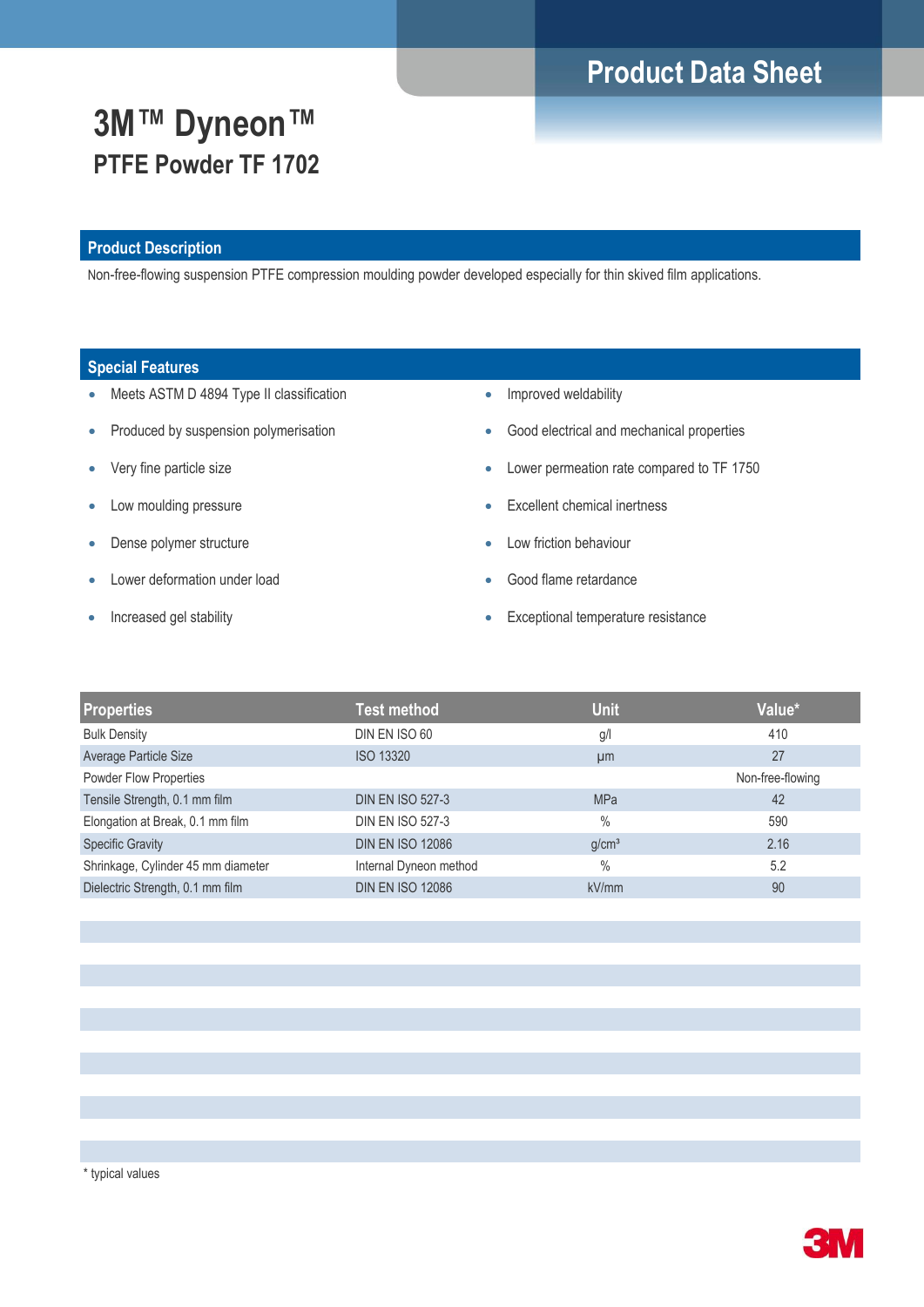# **Product Data Sheet**

# **3M™ Dyneon™ PTFE Powder TF 1702**

### **Product Description**

Non-free-flowing suspension PTFE compression moulding powder developed especially for thin skived film applications.

### **Special Features**

- Meets ASTM D 4894 Type II classification
- Produced by suspension polymerisation
- Very fine particle size
- Low moulding pressure
- Dense polymer structure
- Lower deformation under load
- Increased gel stability
- Improved weldability
- Good electrical and mechanical properties
- Lower permeation rate compared to TF 1750
- Excellent chemical inertness
- Low friction behaviour
- Good flame retardance
- **Exceptional temperature resistance**

| Properties                         | <b>Test method</b>      | <b>Unit</b>       | Value*           |
|------------------------------------|-------------------------|-------------------|------------------|
| <b>Bulk Density</b>                | DIN EN ISO 60           | g/l               | 410              |
| Average Particle Size              | <b>ISO 13320</b>        | µm                | 27               |
| Powder Flow Properties             |                         |                   | Non-free-flowing |
| Tensile Strength, 0.1 mm film      | <b>DIN EN ISO 527-3</b> | <b>MPa</b>        | 42               |
| Elongation at Break, 0.1 mm film   | <b>DIN EN ISO 527-3</b> | $\%$              | 590              |
| <b>Specific Gravity</b>            | <b>DIN EN ISO 12086</b> | q/cm <sup>3</sup> | 2.16             |
| Shrinkage, Cylinder 45 mm diameter | Internal Dyneon method  | $\%$              | 5.2              |
| Dielectric Strength, 0.1 mm film   | <b>DIN EN ISO 12086</b> | kV/mm             | 90               |

\* typical values

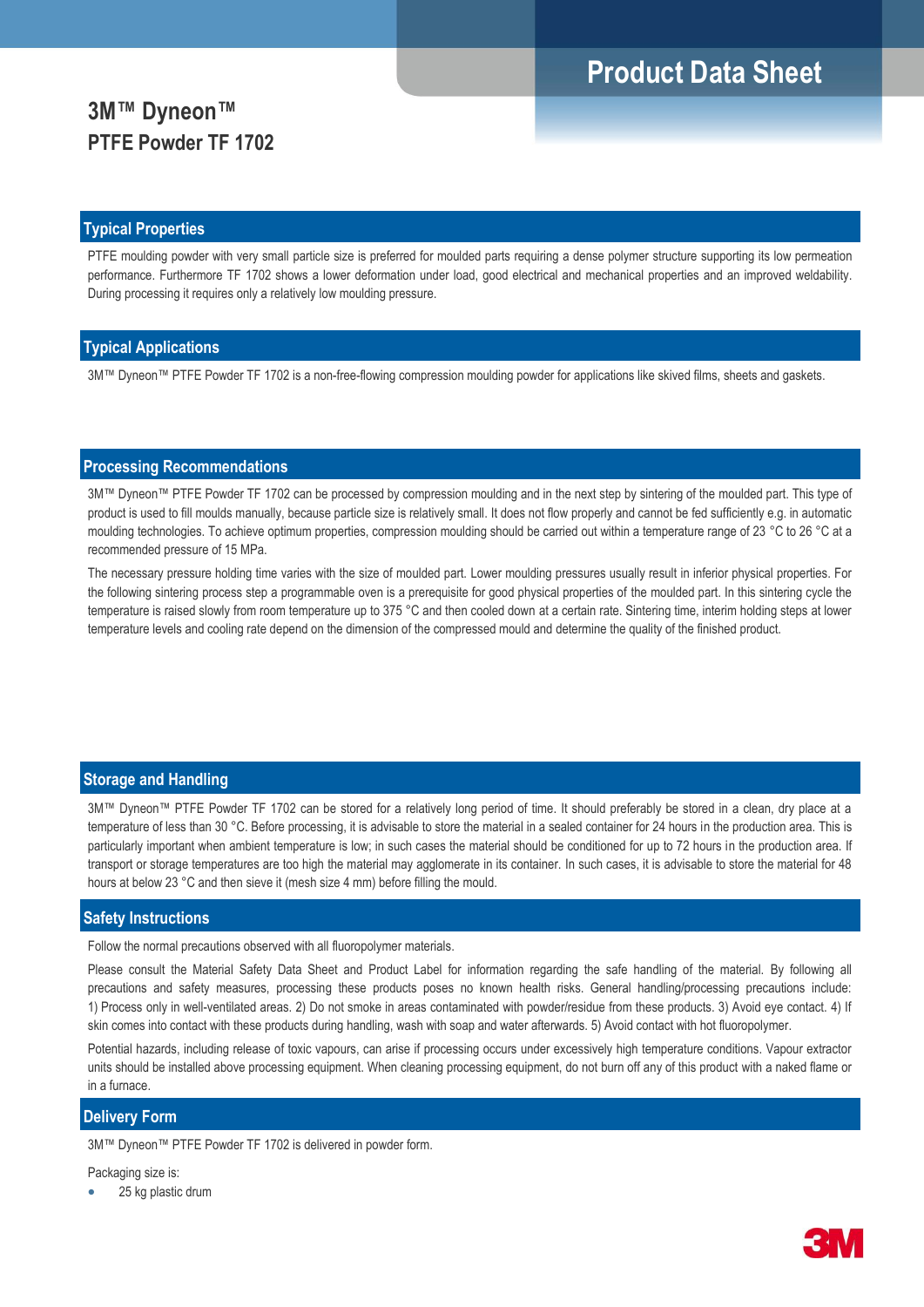## **Product Data Sheet**

## **3M™ Dyneon™ PTFE Powder TF 1702**

#### **Typical Properties**

PTFE moulding powder with very small particle size is preferred for moulded parts requiring a dense polymer structure supporting its low permeation performance. Furthermore TF 1702 shows a lower deformation under load, good electrical and mechanical properties and an improved weldability. During processing it requires only a relatively low moulding pressure.

### **Typical Applications**

3M™ Dyneon™ PTFE Powder TF 1702 is a non-free-flowing compression moulding powder for applications like skived films, sheets and gaskets.

### **Processing Recommendations**

3M™ Dyneon™ PTFE Powder TF 1702 can be processed by compression moulding and in the next step by sintering of the moulded part. This type of product is used to fill moulds manually, because particle size is relatively small. It does not flow properly and cannot be fed sufficiently e.g. in automatic moulding technologies. To achieve optimum properties, compression moulding should be carried out within a temperature range of 23 °C to 26 °C at a recommended pressure of 15 MPa.

The necessary pressure holding time varies with the size of moulded part. Lower moulding pressures usually result in inferior physical properties. For the following sintering process step a programmable oven is a prerequisite for good physical properties of the moulded part. In this sintering cycle the temperature is raised slowly from room temperature up to 375 °C and then cooled down at a certain rate. Sintering time, interim holding steps at lower temperature levels and cooling rate depend on the dimension of the compressed mould and determine the quality of the finished product.

#### **Storage and Handling**

3M™ Dyneon™ PTFE Powder TF 1702 can be stored for a relatively long period of time. It should preferably be stored in a clean, dry place at a temperature of less than 30 °C. Before processing, it is advisable to store the material in a sealed container for 24 hours in the production area. This is particularly important when ambient temperature is low; in such cases the material should be conditioned for up to 72 hours in the production area. If transport or storage temperatures are too high the material may agglomerate in its container. In such cases, it is advisable to store the material for 48 hours at below 23 °C and then sieve it (mesh size 4 mm) before filling the mould.

#### **Safety Instructions**

Follow the normal precautions observed with all fluoropolymer materials.

Please consult the Material Safety Data Sheet and Product Label for information regarding the safe handling of the material. By following all precautions and safety measures, processing these products poses no known health risks. General handling/processing precautions include: 1) Process only in well-ventilated areas. 2) Do not smoke in areas contaminated with powder/residue from these products. 3) Avoid eye contact. 4) If skin comes into contact with these products during handling, wash with soap and water afterwards. 5) Avoid contact with hot fluoropolymer.

Potential hazards, including release of toxic vapours, can arise if processing occurs under excessively high temperature conditions. Vapour extractor units should be installed above processing equipment. When cleaning processing equipment, do not burn off any of this product with a naked flame or in a furnace.

#### **Delivery Form**

3M™ Dyneon™ PTFE Powder TF 1702 is delivered in powder form.

Packaging size is:

25 kg plastic drum